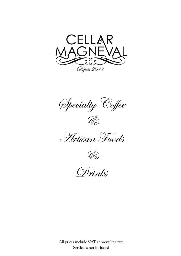

Specialty Coffee  $\bigcircled{C}$ 





Drinks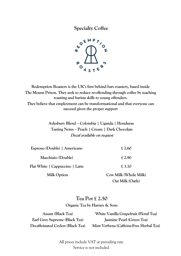**Specialty Coffee**



**Redemption Roasters is the UK's first behind bars roastery, based inside The Mount Prison. They seek to reduce re-offending through coffee by teaching roasting and barista skills to young offenders. They believe that employment can be transformational and that everyone can succeed given the proper support**

> **Aylesbury Blend – Colombia | Uganda | Honduras Tasting Notes – Peach | Cream | Dark Chocolate Decaf available on request**

| Espresso (Double)   Americano   | £ 2.60                |
|---------------------------------|-----------------------|
| Macchiato (Double)              | £2.90                 |
| Flat White   Cappuccino   Latte | £ 3.10                |
| <b>Milk Option</b>              | Cow Milk (Whole Milk) |

**Oat Milk (Oatly)**

# **Tea Pot £ 2.50 Organic Tea by Harney & Sons**

**Assam (Black Tea) Earl Grey Supreme (Black Tea) Decaffeinated Ceylon (Black Tea)**

**White Vanilla Grapefruit (Floral Tea) Jasmine Pearl (Green Tea) Mint Verbena (Caffeine-Free Herbal Tea)**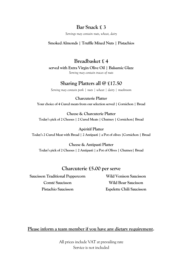# **Bar Snack £ 3**

*Servings may contain nuts, wheat, dairy*

#### **Smoked Almonds | Truffle Mixed Nuts | Pistachios**

**Breadbasket £ 4 served with Extra Virgin Olive Oil | Balsamic Glaze** *Serving may contain traces of nuts*

### **Sharing Platters all @ £17.50**

*Serving may contain pork | nuts | wheat | dairy | mushroom*

**Charcuterie Platter Your choice of 4 Cured meats from our selection served | Cornichon | Bread**

**Cheese & Charcuterie Platter Today's pick of 2 Cheeses | 2 Cured Meats | Chutney | Cornichon| Bread**

**Apéritif Platter Today's 2 Cured Meat with Bread | 2 Antipasti | a Pot of olives |Cornichon | Bread**

**Cheese & Antipasti Platter Today's pick of 2 Cheeses | 2 Antipasti | a Pot of Olives | Chutney| Bread**

#### **Charcuterie £5.00 per serve**

**Saucisson Traditional Peppercorn Wild Venison Saucisson Comté Saucisson Wild Boar Saucisson Pistachio Saucisson Espelette Chili Saucisson**

**Please inform a team member if you have any dietary requirement.**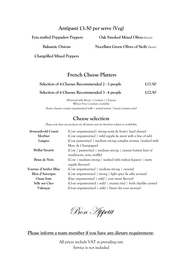### **Antipasti £3.50 per serve (Veg)**

**Feta stuffed Peppadew Peppers Oak Smoked Mixed Olives** (Stone)

**Balsamic Onions Nocellara Green Olives of Sicily** (Stone)

**Chargrilled Mixed Peppers**

## **French Cheese Platters**

| Selection of 4 Cheeses Recommended 2 - 3 people                                                                                                                         | £17.50 |
|-------------------------------------------------------------------------------------------------------------------------------------------------------------------------|--------|
| Selection of 6 Cheeses Recommended 3 - 4 people                                                                                                                         | £22.50 |
| $\frac{1}{2}$ $\frac{1}{2}$ $\frac{1}{2}$ $\frac{1}{2}$ $\frac{1}{2}$ $\frac{1}{2}$ $\frac{1}{2}$ $\frac{1}{2}$ $\frac{1}{2}$ $\frac{1}{2}$ $\frac{1}{2}$ $\frac{1}{2}$ |        |

All served with Bread | Crackers | Chutney Wheat Free Crackers available (Some cheesescontain unpasteurized milk | animal rennet | bread contains nuts)

# **Cheese selection**

Please note that our products are all artisan and are therefore subject to availability

| 36-month-old Comté     | (Cow unpasteurized) strong nutty & fruity hard cheese)             |  |
|------------------------|--------------------------------------------------------------------|--|
| Morbier                | (Cow unpasteurized   mild supple & sweet with a line of ash)       |  |
| Langres                | (Cow pasteurized   medium strong complex aromas   washed with      |  |
|                        | Marc de Champagne)                                                 |  |
| <b>Brillat Savarin</b> | (Cow   pasteurized   medium strong   creamy buttery hint of        |  |
|                        | mushroom, nuts, truffle)                                           |  |
| Brun de Noix           | (Cow   medium strong   washed with walnut liqueur   nutty          |  |
|                        | supple flavours)                                                   |  |
| Fourme d'Amber Blue    | (Cow unpasteurized   medium strong   creamy)                       |  |
| Bleu d'Auvergne        | (Cow unpasteurized   strong   light spice & salty aromas)          |  |
| Ossau Iraty            | (Ewe unpasteurized   mild   sour sweet flavour)                    |  |
| Selle sur Cher         | (Goat unpasteurized   mild   creamy rind   fresh clay-like centre) |  |
| Valençay               | (Goat unpasteurized   mild   Sweet dry sour aromas)                |  |

Bon Appetit

#### **Please inform a team member if you have any dietary requirement.**